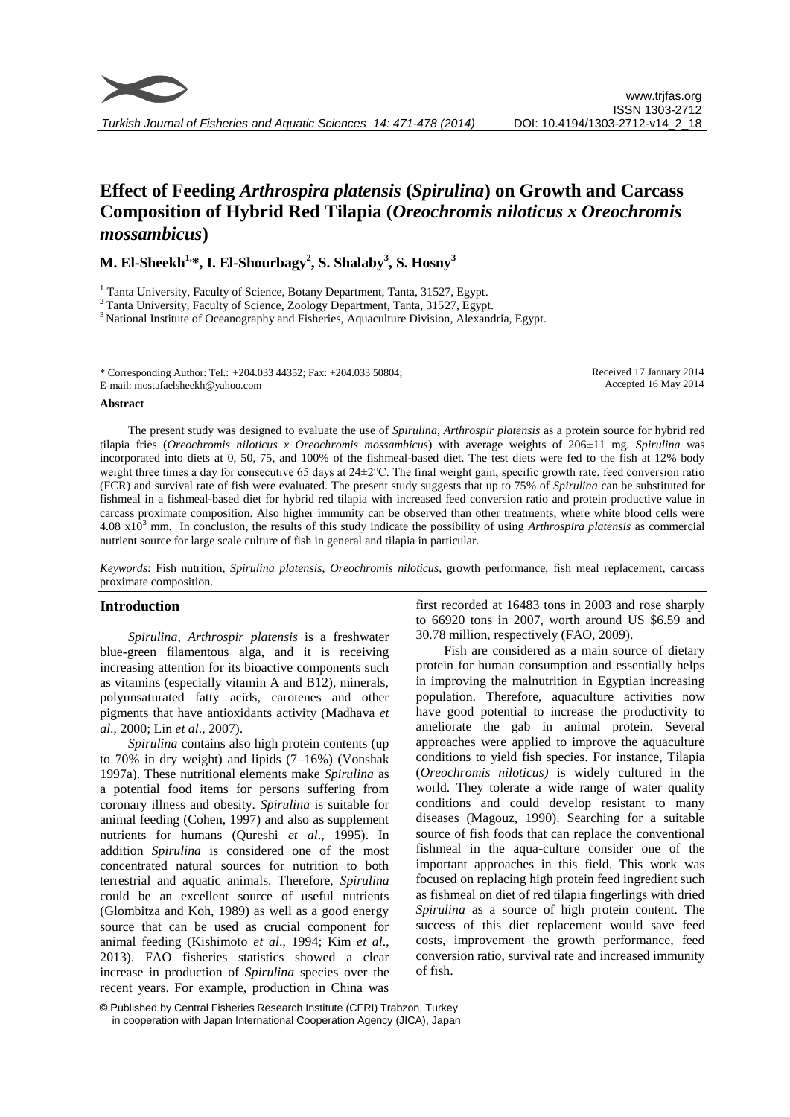

# **Effect of Feeding** *Arthrospira platensis* **(***Spirulina***) on Growth and Carcass Composition of Hybrid Red Tilapia (***Oreochromis niloticus x Oreochromis mossambicus***)**

**M. El-Sheekh1, \*, I. El-Shourbagy<sup>2</sup> , S. Shalaby<sup>3</sup> , S. Hosny<sup>3</sup>**

<sup>1</sup> Tanta University, Faculty of Science, Botany Department, Tanta, 31527, Egypt.

<sup>2</sup> Tanta University, Faculty of Science, Zoology Department, Tanta, 31527, Egypt.

<sup>3</sup> National Institute of Oceanography and Fisheries, Aquaculture Division, Alexandria, Egypt.

#### **Abstract**

The present study was designed to evaluate the use of *Spirulina*, *Arthrospir platensis* as a protein source for hybrid red tilapia fries (*Oreochromis niloticus x Oreochromis mossambicus*) with average weights of 206±11 mg. *Spirulina* was incorporated into diets at 0, 50, 75, and 100% of the fishmeal-based diet. The test diets were fed to the fish at 12% body weight three times a day for consecutive 65 days at 24±2°C. The final weight gain, specific growth rate, feed conversion ratio (FCR) and survival rate of fish were evaluated. The present study suggests that up to 75% of *Spirulina* can be substituted for fishmeal in a fishmeal-based diet for hybrid red tilapia with increased feed conversion ratio and protein productive value in carcass proximate composition. Also higher immunity can be observed than other treatments, where white blood cells were 4.08 x10<sup>3</sup> mm. In conclusion, the results of this study indicate the possibility of using *Arthrospira platensis* as commercial nutrient source for large scale culture of fish in general and tilapia in particular.

*Keywords*: Fish nutrition, *Spirulina platensis*, *Oreochromis niloticus*, growth performance, fish meal replacement, carcass proximate composition.

## **Introduction**

*Spirulina, Arthrospir platensis* is a freshwater blue-green filamentous alga, and it is receiving increasing attention for its bioactive components such as vitamins (especially vitamin A and B12), minerals, polyunsaturated fatty acids, carotenes and other pigments that have antioxidants activity (Madhava *et al*., 2000; Lin *et al*., 2007).

*Spirulina* contains also high protein contents (up to 70% in dry weight) and lipids (7–16%) (Vonshak 1997a). These nutritional elements make *Spirulina* as a potential food items for persons suffering from coronary illness and obesity. *Spirulina* is suitable for animal feeding (Cohen, 1997) and also as supplement nutrients for humans (Qureshi *et al*., 1995). In addition *Spirulina* is considered one of the most concentrated natural sources for nutrition to both terrestrial and aquatic animals. Therefore, *Spirulina* could be an excellent source of useful nutrients (Glombitza and Koh, 1989) as well as a good energy source that can be used as crucial component for animal feeding (Kishimoto *et al*., 1994; Kim *et al*., 2013). FAO fisheries statistics showed a clear increase in production of *Spirulina* species over the recent years. For example, production in China was first recorded at 16483 tons in 2003 and rose sharply to 66920 tons in 2007, worth around US \$6.59 and 30.78 million, respectively [\(FAO, 2009\)](javascript:;).

Fish are considered as a main source of dietary protein for human consumption and essentially helps in improving the malnutrition in Egyptian increasing population. Therefore, aquaculture activities now have good potential to increase the productivity to ameliorate the gab in animal protein. Several approaches were applied to improve the aquaculture conditions to yield fish species. For instance, Tilapia (*Oreochromis niloticus)* is widely cultured in the world. They tolerate a wide range of water quality conditions and could develop resistant to many diseases (Magouz, 1990). Searching for a suitable source of fish foods that can replace the conventional fishmeal in the aqua-culture consider one of the important approaches in this field. This work was focused on replacing high protein feed ingredient such as fishmeal on diet of red tilapia fingerlings with dried *Spirulina* as a source of high protein content. The success of this diet replacement would save feed costs, improvement the growth performance, feed conversion ratio, survival rate and increased immunity of fish.

<sup>©</sup> Published by Central Fisheries Research Institute (CFRI) Trabzon, Turkey in cooperation with Japan International Cooperation Agency (JICA), Japan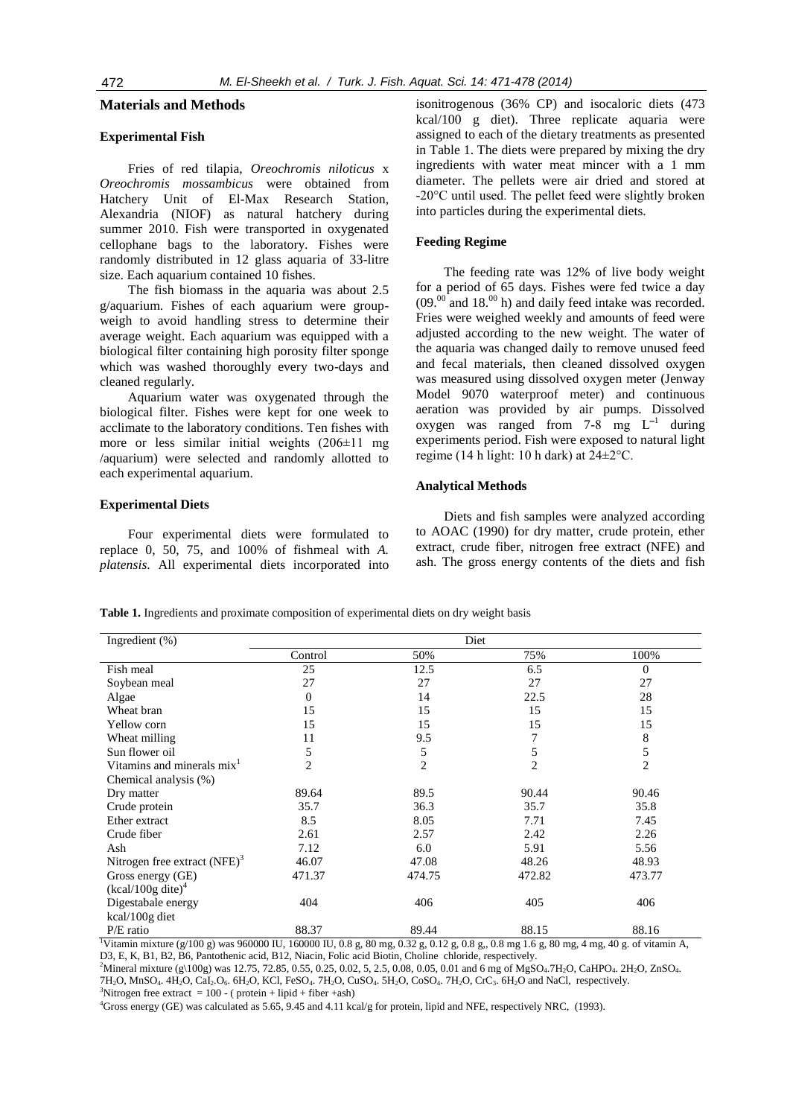#### **Materials and Methods**

# **Experimental Fish**

Fries of red tilapia, *Oreochromis niloticus* x *Oreochromis mossambicus* were obtained from Hatchery Unit of El-Max Research Station, Alexandria (NIOF) as natural hatchery during summer 2010. Fish were transported in oxygenated cellophane bags to the laboratory. Fishes were randomly distributed in 12 glass aquaria of 33-litre size. Each aquarium contained 10 fishes.

The fish biomass in the aquaria was about 2.5 g/aquarium. Fishes of each aquarium were groupweigh to avoid handling stress to determine their average weight. Each aquarium was equipped with a biological filter containing high porosity filter sponge which was washed thoroughly every two-days and cleaned regularly.

Aquarium water was oxygenated through the biological filter. Fishes were kept for one week to acclimate to the laboratory conditions. Ten fishes with more or less similar initial weights  $(206\pm11 \text{ mg})$ /aquarium) were selected and randomly allotted to each experimental aquarium.

#### **Experimental Diets**

Four experimental diets were formulated to replace 0, 50, 75, and 100% of fishmeal with *A. platensis*. All experimental diets incorporated into isonitrogenous (36% CP) and isocaloric diets (473 kcal/100 g diet). Three replicate aquaria were assigned to each of the dietary treatments as presented in Table 1. The diets were prepared by mixing the dry ingredients with water meat mincer with a 1 mm diameter. The pellets were air dried and stored at -20°C until used. The pellet feed were slightly broken into particles during the experimental diets.

## **Feeding Regime**

The feeding rate was 12% of live body weight for a period of 65 days. Fishes were fed twice a day  $(09.^{00}$  and 18.<sup>00</sup> h) and daily feed intake was recorded. Fries were weighed weekly and amounts of feed were adjusted according to the new weight. The water of the aquaria was changed daily to remove unused feed and fecal materials, then cleaned dissolved oxygen was measured using dissolved oxygen meter (Jenway Model 9070 waterproof meter) and continuous aeration was provided by air pumps. Dissolved oxygen was ranged from  $7-8$  mg  $L^{-1}$  during experiments period. Fish were exposed to natural light regime (14 h light: 10 h dark) at  $24 \pm 2$ °C.

#### **Analytical Methods**

Diets and fish samples were analyzed according to AOAC (1990) for dry matter, crude protein, ether extract, crude fiber, nitrogen free extract (NFE) and ash. The gross energy contents of the diets and fish

**Table 1.** Ingredients and proximate composition of experimental diets on dry weight basis

| Ingredient $(\%)$                      | Diet     |                |        |                |  |  |
|----------------------------------------|----------|----------------|--------|----------------|--|--|
|                                        | Control  | 50%            | 75%    | 100%           |  |  |
| Fish meal                              | 25       | 12.5           | 6.5    | $\Omega$       |  |  |
| Soybean meal                           | 27       | 27             | 27     | 27             |  |  |
| Algae                                  | $\Omega$ | 14             | 22.5   | 28             |  |  |
| Wheat bran                             | 15       | 15             | 15     | 15             |  |  |
| Yellow corn                            | 15       | 15             | 15     | 15             |  |  |
| Wheat milling                          | 11       | 9.5            |        | 8              |  |  |
| Sun flower oil                         | 5        | 5              | 5      | 5              |  |  |
| Vitamins and minerals mix <sup>1</sup> | 2        | $\overline{c}$ | 2      | $\overline{2}$ |  |  |
| Chemical analysis (%)                  |          |                |        |                |  |  |
| Dry matter                             | 89.64    | 89.5           | 90.44  | 90.46          |  |  |
| Crude protein                          | 35.7     | 36.3           | 35.7   | 35.8           |  |  |
| Ether extract                          | 8.5      | 8.05           | 7.71   | 7.45           |  |  |
| Crude fiber                            | 2.61     | 2.57           | 2.42   | 2.26           |  |  |
| Ash                                    | 7.12     | 6.0            | 5.91   | 5.56           |  |  |
| Nitrogen free extract $(NFE)^3$        | 46.07    | 47.08          | 48.26  | 48.93          |  |  |
| Gross energy (GE)                      | 471.37   | 474.75         | 472.82 | 473.77         |  |  |
| $(kcal/100g$ dite) <sup>4</sup>        |          |                |        |                |  |  |
| Digestabale energy                     | 404      | 406            | 405    | 406            |  |  |
| kcal/100g diet                         |          |                |        |                |  |  |
| P/E ratio                              | 88.37    | 89.44          | 88.15  | 88.16          |  |  |

<sup>1</sup>Vitamin mixture (g/100 g) was 960000 IU, 160000 IU, 0.8 g, 80 mg, 0.32 g, 0.12 g, 0.8 g,, 0.8 mg 1.6 g, 80 mg, 4 mg, 40 g. of vitamin A, D3, E, K, B1, B2, B6, Pantothenic acid, B12, Niacin, Folic acid Biotin, Choline chloride, respectively.

<sup>2</sup>Mineral mixture (g\100g) was 12.75, 72.85, 0.55, 0.25, 0.02, 5, 2.5, 0.08, 0.05, 0.01 and 6 mg of MgSO<sub>4</sub>.7H<sub>2</sub>O, CaHPO<sub>4</sub>. 2H<sub>2</sub>O, ZnSO<sub>4</sub>. 7H2O, MnSO4. 4H2O, CaI2.O6. 6H2O, KCl, FeSO4. 7H2O, CuSO4. 5H2O, CoSO4. 7H2O, CrC3. 6H2O and NaCl, respectively. <sup>3</sup>Nitrogen free extract =  $100 - ($  protein + lipid + fiber +ash)

<sup>4</sup>Gross energy (GE) was calculated as 5.65, 9.45 and 4.11 kcal/g for protein, lipid and NFE, respectively NRC, (1993).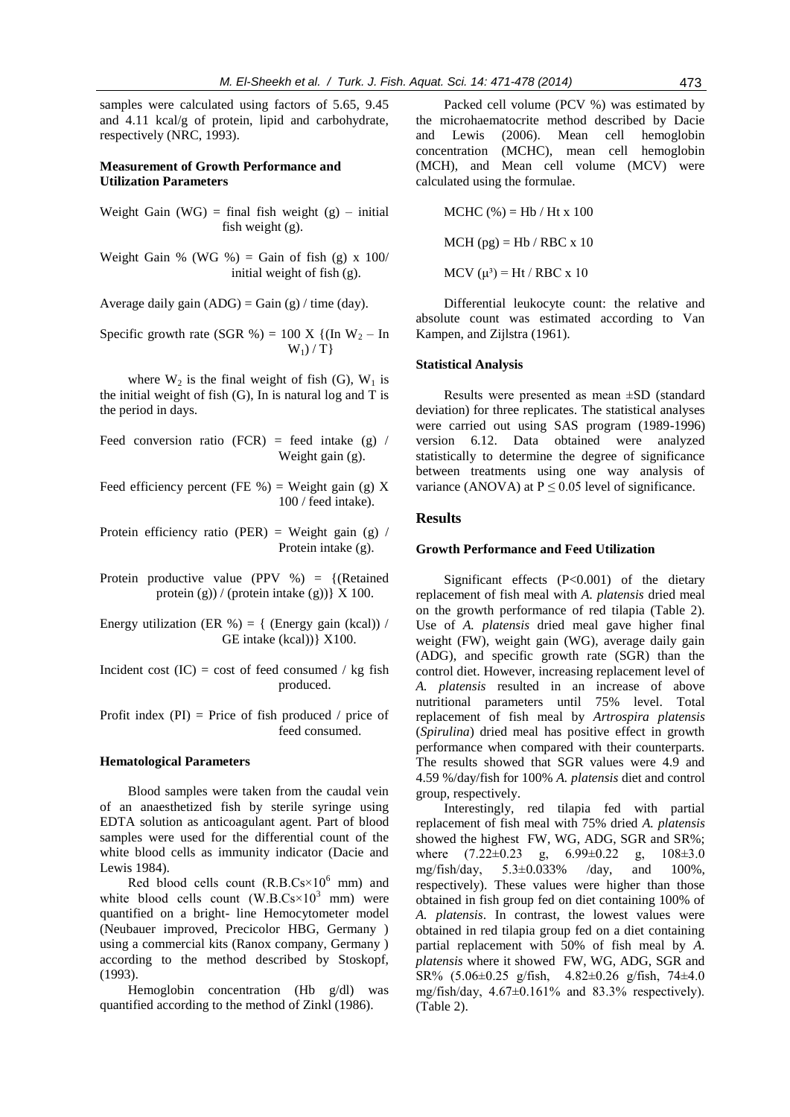samples were calculated using factors of 5.65, 9.45 and 4.11 kcal/g of protein, lipid and carbohydrate, respectively (NRC, 1993).

## **Measurement of Growth Performance and Utilization Parameters**

- Weight Gain (WG) = final fish weight  $(g)$  initial fish weight (g).
- Weight Gain % (WG %) = Gain of fish (g) x  $100/$ initial weight of fish (g).

Average daily gain  $(ADG) = Gain(g)/time (day)$ .

Specific growth rate (SGR %) = 100 X {(In  $W_2$  – In  $W_1$ ) / T}

where  $W_2$  is the final weight of fish (G),  $W_1$  is the initial weight of fish  $(G)$ , In is natural log and T is the period in days.

- Feed conversion ratio (FCR) = feed intake (g) / Weight gain (g).
- Feed efficiency percent (FE %) = Weight gain (g) X 100 / feed intake).
- Protein efficiency ratio (PER) = Weight gain (g) / Protein intake (g).
- Protein productive value (PPV %) = {(Retained protein (g)) / (protein intake (g))  $\{X\}$  100.
- Energy utilization (ER %) = { (Energy gain (kcal)) / GE intake (kcal))} X100.
- Incident cost  $(IC) = \text{cost of feed consumed } / \text{kg fish}$ produced.
- Profit index  $(PI)$  = Price of fish produced / price of feed consumed.

#### **Hematological Parameters**

Blood samples were taken from the caudal vein of an anaesthetized fish by sterile syringe using EDTA solution as anticoagulant agent. Part of blood samples were used for the differential count of the white blood cells as immunity indicator (Dacie and Lewis 1984).

Red blood cells count  $(R.B.Cs×10^6 \text{ mm})$  and white blood cells count  $(W.B.Cs×10^3 mm)$  were quantified on a bright- line Hemocytometer model (Neubauer improved, Precicolor HBG, Germany ) using a commercial kits (Ranox company, Germany ) according to the method described by Stoskopf, (1993).

Hemoglobin concentration (Hb g/dl) was quantified according to the method of Zinkl (1986).

Packed cell volume (PCV %) was estimated by the microhaematocrite method described by Dacie and Lewis (2006). Mean cell hemoglobin concentration (MCHC), mean cell hemoglobin (MCH), and Mean cell volume (MCV) were calculated using the formulae.

MCHC (%) = Hb / Ht x 100 MCH (pg) = Hb / RBC x 10

MCV  $(\mu^3)$  = Ht / RBC x 10

Differential leukocyte count: the relative and absolute count was estimated according to Van Kampen, and Zijlstra (1961).

#### **Statistical Analysis**

Results were presented as mean ±SD (standard deviation) for three replicates. The statistical analyses were carried out using SAS program (1989-1996) version 6.12. Data obtained were analyzed statistically to determine the degree of significance between treatments using one way analysis of variance (ANOVA) at  $P \le 0.05$  level of significance.

# **Results**

#### **Growth Performance and Feed Utilization**

Significant effects (P<0.001) of the dietary replacement of fish meal with *A. platensis* dried meal on the growth performance of red tilapia (Table 2). Use of *A. platensis* dried meal gave higher final weight (FW), weight gain (WG), average daily gain (ADG), and specific growth rate (SGR) than the control diet. However, increasing replacement level of *A. platensis* resulted in an increase of above nutritional parameters until 75% level. Total replacement of fish meal by *Artrospira platensis*  (*Spirulina*) dried meal has positive effect in growth performance when compared with their counterparts. The results showed that SGR values were 4.9 and 4.59 %/day/fish for 100% *A. platensis* diet and control group, respectively.

Interestingly, red tilapia fed with partial replacement of fish meal with 75% dried *A. platensis*  showed the highest FW, WG, ADG, SGR and SR%; where  $(7.22 \pm 0.23 \text{ g}, 6.99 \pm 0.22 \text{ g}, 108 \pm 3.0$ mg/fish/day, 5.3±0.033% /day, and 100%, respectively). These values were higher than those obtained in fish group fed on diet containing 100% of *A. platensis*. In contrast, the lowest values were obtained in red tilapia group fed on a diet containing partial replacement with 50% of fish meal by *A. platensis* where it showed FW, WG, ADG, SGR and SR% (5.06±0.25 g/fish, 4.82±0.26 g/fish, 74±4.0 mg/fish/day, 4.67±0.161% and 83.3% respectively). (Table 2).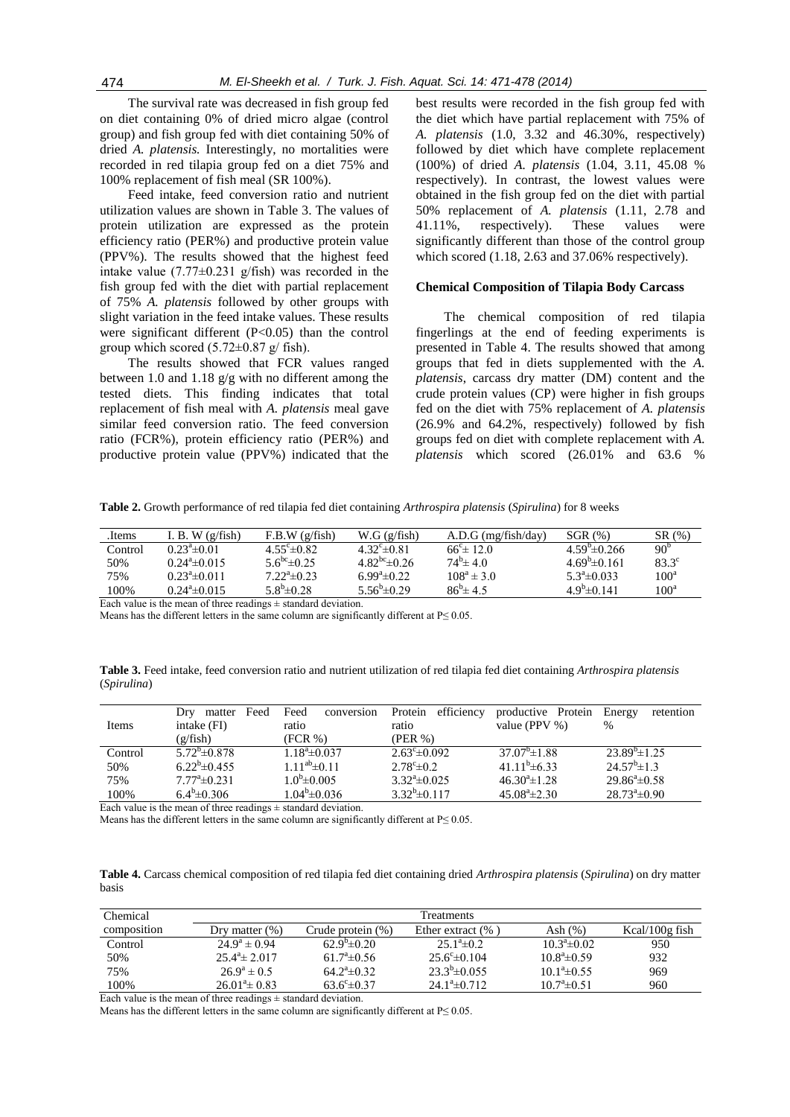The survival rate was decreased in fish group fed on diet containing 0% of dried micro algae (control group) and fish group fed with diet containing 50% of dried *A. platensis.* Interestingly, no mortalities were recorded in red tilapia group fed on a diet 75% and 100% replacement of fish meal (SR 100%).

Feed intake, feed conversion ratio and nutrient utilization values are shown in Table 3. The values of protein utilization are expressed as the protein efficiency ratio (PER%) and productive protein value (PPV%). The results showed that the highest feed intake value  $(7.77\pm0.231)$  g/fish) was recorded in the fish group fed with the diet with partial replacement of 75% *A. platensis* followed by other groups with slight variation in the feed intake values. These results were significant different (P<0.05) than the control group which scored  $(5.72\pm0.87 \text{ g/mol/sh})$ .

The results showed that FCR values ranged between 1.0 and 1.18 g/g with no different among the tested diets. This finding indicates that total replacement of fish meal with *A. platensis* meal gave similar feed conversion ratio. The feed conversion ratio (FCR%), protein efficiency ratio (PER%) and productive protein value (PPV%) indicated that the

best results were recorded in the fish group fed with the diet which have partial replacement with 75% of *A. platensis* (1.0, 3.32 and 46.30%, respectively) followed by diet which have complete replacement (100%) of dried *A. platensis* (1.04, 3.11, 45.08 % respectively). In contrast, the lowest values were obtained in the fish group fed on the diet with partial 50% replacement of *A. platensis* (1.11, 2.78 and 41.11%, respectively). These values were significantly different than those of the control group which scored (1.18, 2.63 and 37.06% respectively).

#### **Chemical Composition of Tilapia Body Carcass**

The chemical composition of red tilapia fingerlings at the end of feeding experiments is presented in Table 4. The results showed that among groups that fed in diets supplemented with the *A. platensis*, carcass dry matter (DM) content and the crude protein values (CP) were higher in fish groups fed on the diet with 75% replacement of *A. platensis* (26.9% and 64.2%, respectively) followed by fish groups fed on diet with complete replacement with *A. platensis* which scored (26.01% and 63.6 %

**Table 2.** Growth performance of red tilapia fed diet containing *Arthrospira platensis* (*Spirulina*) for 8 weeks

| Items                                  | I. B. W $(g/fish)$     | F.B.W (g/fish)               | W.G(g/fish)                   | $A.D.G$ (mg/fish/day)   | SGR(%)                 | SR(%)            |
|----------------------------------------|------------------------|------------------------------|-------------------------------|-------------------------|------------------------|------------------|
| Control                                | $0.23^{\circ}$ ± 0.01  | 4.55 $^{\circ}$ $\pm$ 0.82   | 4.32 $^{\circ}$ $\pm$ 0.81    | $66^{\circ}$ $\pm$ 12.0 | $4.59^{\circ}$ ± 0.266 | 90 <sup>b</sup>  |
| 50%                                    | $0.24^a \pm 0.015$     | 5.6 <sup>bc</sup> $\pm$ 0.25 | 4.82 <sup>bc</sup> $\pm$ 0.26 | $74^b \pm 4.0$          | $4.69^b \pm 0.161$     | $83.3^\circ$     |
| 75%                                    | $0.23^a \pm 0.011$     | $7.22^{\circ}$ $\pm 0.23$    | $6.99^{\circ}$ = 0.22         | $108^a \pm 3.0$         | $5.3^a \pm 0.033$      | 100 <sup>a</sup> |
| 100%                                   | $0.24^{\circ}$ ± 0.015 | $5.8^b \pm 0.28$             | 5.56 <sup>b</sup> $\pm$ 0.29  | $86^{6} \pm 45$         | $4.9^b \pm 0.141$      | $100^{\rm a}$    |
| $\mathbf{r}$ $\mathbf{r}$ $\mathbf{r}$ |                        |                              |                               |                         |                        |                  |

Each value is the mean of three readings  $\pm$  standard deviation.

Means has the different letters in the same column are significantly different at  $P \le 0.05$ .

**Table 3.** Feed intake, feed conversion ratio and nutrient utilization of red tilapia fed diet containing *Arthrospira platensis* (*Spirulina*)

|         | Feed<br>matter<br>Dry      | Feed<br>conversion   | efficiency<br>Protein    | productive Protein     | retention<br>Energy      |
|---------|----------------------------|----------------------|--------------------------|------------------------|--------------------------|
| Items   | intake (FI)                | ratio                | ratio                    | value (PPV $\%$ )      | $\%$                     |
|         | (g/fish)                   | $(FCR \%)$           | (PER %)                  |                        |                          |
| Control | $5.72^b \pm 0.878$         | $1.18^a \pm 0.037$   | $2.63^{\circ} \pm 0.092$ | $37.07^{\circ}$ ± 1.88 | $23.89^{\circ}$ ±1.25    |
| 50%     | $6.22^b \pm 0.455$         | $1.11^{ab} \pm 0.11$ | $2.78^{\circ} \pm 0.2$   | $41.11^{b} \pm 6.33$   | $24.57^{\rm b} \pm 1.3$  |
| 75%     | $7.77^{\rm a}$ $\pm$ 0.231 | $1.0^{\circ}$ ±0.005 | $3.32^{\circ} \pm 0.025$ | $46.30^{\circ}$ ± 1.28 | $29.86^{\circ}$ ± 0.58   |
| 100%    | $6.4^b \pm 0.306$          | $1.04^b \pm 0.036$   | $3.32^b \pm 0.117$       | $45.08^{\circ}$ ± 2.30 | $28.73^{\circ} \pm 0.90$ |

Each value is the mean of three readings  $\pm$  standard deviation.

Means has the different letters in the same column are significantly different at  $P \le 0.05$ .

**Table 4.** Carcass chemical composition of red tilapia fed diet containing dried *Arthrospira platensis* (*Spirulina*) on dry matter basis

| Chemical    |                          |                         | <b>Treatments</b>        |                       |                   |
|-------------|--------------------------|-------------------------|--------------------------|-----------------------|-------------------|
| composition | Dry matter $(\%)$        | Crude protein $(\%)$    | Ether extract $(\% )$    | Ash $(\%)$            | Kcal/ $100g$ fish |
| Control     | $24.9^a \pm 0.94$        | $62.9^{\circ} \pm 0.20$ | $25.1^{\circ} \pm 0.2$   | $10.3^a \pm 0.02$     | 950               |
| 50%         | $25.4^{\circ} \pm 2.017$ | $61.7^{\circ}$ ± 0.56   | $25.6^{\circ} \pm 0.104$ | $10.8^{\circ}$ ± 0.59 | 932               |
| 75%         | $26.9^a \pm 0.5$         | $64.2^{\circ} \pm 0.32$ | $23.3^b \pm 0.055$       | $10.1^{\circ}$ ± 0.55 | 969               |
| 100%        | $26.01^{\circ} \pm 0.83$ | $63.6^{\circ} \pm 0.37$ | $24.1^a \pm 0.712$       | $10.7^{\circ}$ ± 0.51 | 960               |
|             |                          |                         |                          |                       |                   |

Each value is the mean of three readings  $\pm$  standard deviation.

Means has the different letters in the same column are significantly different at  $P \le 0.05$ .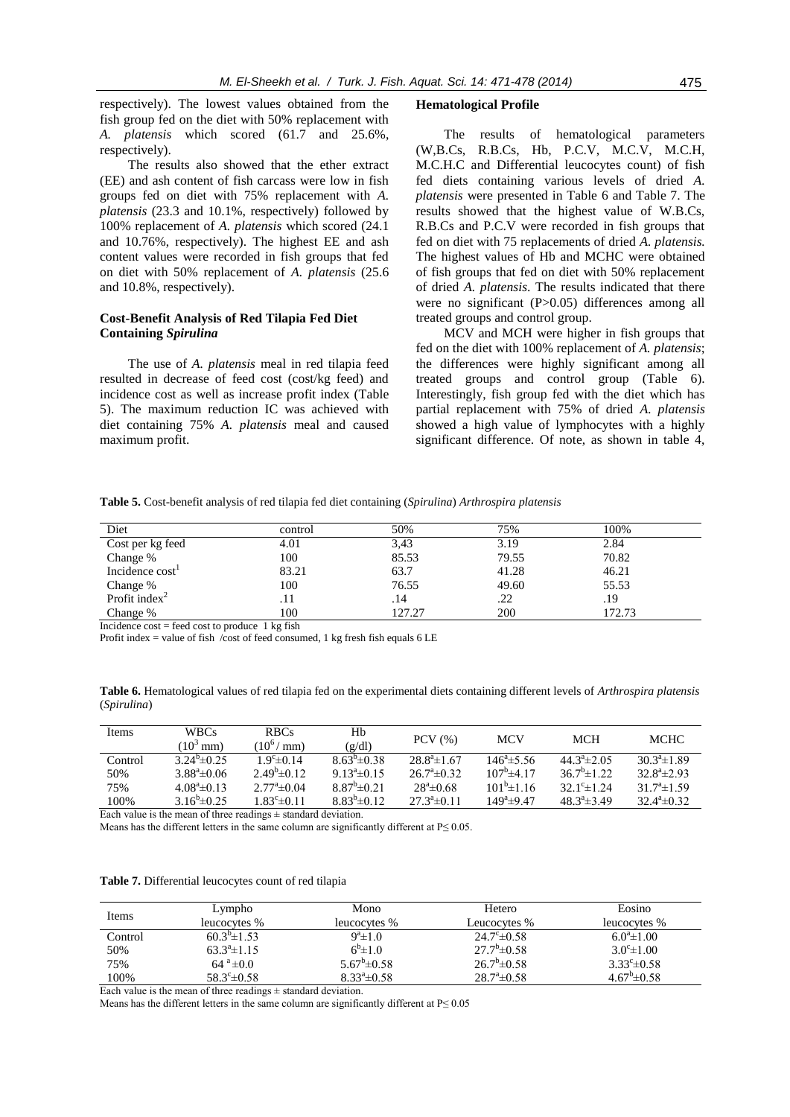respectively). The lowest values obtained from the fish group fed on the diet with 50% replacement with *A. platensis* which scored (61.7 and 25.6%, respectively).

The results also showed that the ether extract (EE) and ash content of fish carcass were low in fish groups fed on diet with 75% replacement with *A. platensis* (23.3 and 10.1%, respectively) followed by 100% replacement of *A. platensis* which scored (24.1 and 10.76%, respectively). The highest EE and ash content values were recorded in fish groups that fed on diet with 50% replacement of *A. platensis* (25.6 and 10.8%, respectively).

# **Cost-Benefit Analysis of Red Tilapia Fed Diet Containing** *Spirulina*

The use of *A. platensis* meal in red tilapia feed resulted in decrease of feed cost (cost/kg feed) and incidence cost as well as increase profit index (Table 5). The maximum reduction IC was achieved with diet containing 75% *A. platensis* meal and caused maximum profit.

#### **Hematological Profile**

The results of hematological parameters (W,B.Cs, R.B.Cs, Hb, P.C.V, M.C.V, M.C.H, M.C.H.C and Differential leucocytes count) of fish fed diets containing various levels of dried *A. platensis* were presented in Table 6 and Table 7. The results showed that the highest value of W.B.Cs, R.B.Cs and P.C.V were recorded in fish groups that fed on diet with 75 replacements of dried *A. platensis.* The highest values of Hb and MCHC were obtained of fish groups that fed on diet with 50% replacement of dried *A. platensis*. The results indicated that there were no significant (P>0.05) differences among all treated groups and control group.

MCV and MCH were higher in fish groups that fed on the diet with 100% replacement of *A. platensis*; the differences were highly significant among all treated groups and control group (Table 6). Interestingly, fish group fed with the diet which has partial replacement with 75% of dried *A. platensis* showed a high value of lymphocytes with a highly significant difference. Of note, as shown in table 4,

**Table 5.** Cost-benefit analysis of red tilapia fed diet containing (*Spirulina*) *Arthrospira platensis*

| Diet                        | control | 50%    | 75%   | 100%   |
|-----------------------------|---------|--------|-------|--------|
| Cost per kg feed            | 4.01    | 3,43   | 3.19  | 2.84   |
| Change %                    | 100     | 85.53  | 79.55 | 70.82  |
| Incidence cost <sup>1</sup> | 83.21   | 63.7   | 41.28 | 46.21  |
| Change %                    | 100     | 76.55  | 49.60 | 55.53  |
| Profit index $2$            | .11     | .14    | .22   | .19    |
| Change %                    | 100     | 127.27 | 200   | 172.73 |

Incidence  $\text{cost} = \text{feed cost}$  to produce 1 kg fish

Profit index = value of fish /cost of feed consumed, 1 kg fresh fish equals 6 LE

**Table 6.** Hematological values of red tilapia fed on the experimental diets containing different levels of *Arthrospira platensis* (*Spirulina*)

| Items   | <b>WBCs</b><br>$(10^3 \text{ mm})$ | <b>RBCs</b><br>$10^6 / \text{mm}$ | Hb<br>(g/dl)          | $PCV$ $(\% )$             | <b>MCV</b>               | <b>MCH</b>                   | <b>MCHC</b>               |
|---------|------------------------------------|-----------------------------------|-----------------------|---------------------------|--------------------------|------------------------------|---------------------------|
| Control | $3.24^{\circ}$ ± 0.25              | $1.9^{\circ}$ ± 0.14              | $8.63^{b} \pm 0.38$   | $28.8^{\circ}$ ± 1.67     | $146^{\circ}$ ± 5.56     | $44.3^a \pm 2.05$            | $30.3^a \pm 1.89$         |
| 50%     | $3.88^{\circ}$ ± 0.06              | $2.49^b \pm 0.12$                 | $9.13^{\circ}$ ± 0.15 | $26.7^{\circ}$ $\pm 0.32$ | $107^{\rm b}$ $\pm$ 4 17 | $36.7^b \pm 1.22$            | $32.8^a \pm 2.93$         |
| 75%     | $4.08^{\circ}$ ± 0.13              | $2.77^{\circ}$ ± 0.04             | $8.87^b \pm 0.21$     | $28^{\circ}$ ± 0.68       | $101^b \pm 116$          | 32.1 <sup>c</sup> $\pm$ 1.24 | $31.7^{\circ}$ ± 1.59     |
| 100%    | 3.16 <sup>b</sup> $\pm$ 0.25       | $1.83^c \pm 0.11$                 | $8.83^{b} \pm 0.12$   | $27.3^a \pm 0.11$         | $149^a \pm 947$          | $48.3^{\circ}$ ± 3.49        | $32.4^{\circ}$ $\pm 0.32$ |

Each value is the mean of three readings  $\pm$  standard deviation.

Means has the different letters in the same column are significantly different at  $P \le 0.05$ .

|  |  | Table 7. Differential leucocytes count of red tilapia |  |  |  |  |
|--|--|-------------------------------------------------------|--|--|--|--|
|--|--|-------------------------------------------------------|--|--|--|--|

| Items   | Lympho                  | Mono                    | Hetero                  | Eosino                  |
|---------|-------------------------|-------------------------|-------------------------|-------------------------|
|         | leucocytes %            | leucocytes %            | Leucocytes %            | leucocytes %            |
| Control | $60.3^{\circ}$ ± 1.53   | $9^a \pm 1.0$           | $24.7^{\circ} \pm 0.58$ | $6.0^{\circ}$ ± 1.00    |
| 50%     | $63.3^{\circ}$ ± 1.15   | $6^{6}$ $\pm 1.0$       | $27.7^b \pm 0.58$       | $3.0^{\circ} \pm 1.00$  |
| 75%     | $64^{\circ} \pm 0.0$    | $5.67^b \pm 0.58$       | $26.7^b \pm 0.58$       | $3.33^{\circ} \pm 0.58$ |
| 100%    | $58.3^{\circ} \pm 0.58$ | $8.33^{\circ} \pm 0.58$ | $28.7^{\circ} \pm 0.58$ | $4.67^b \pm 0.58$       |

Each value is the mean of three readings  $\pm$  standard deviation.

Means has the different letters in the same column are significantly different at  $P \le 0.05$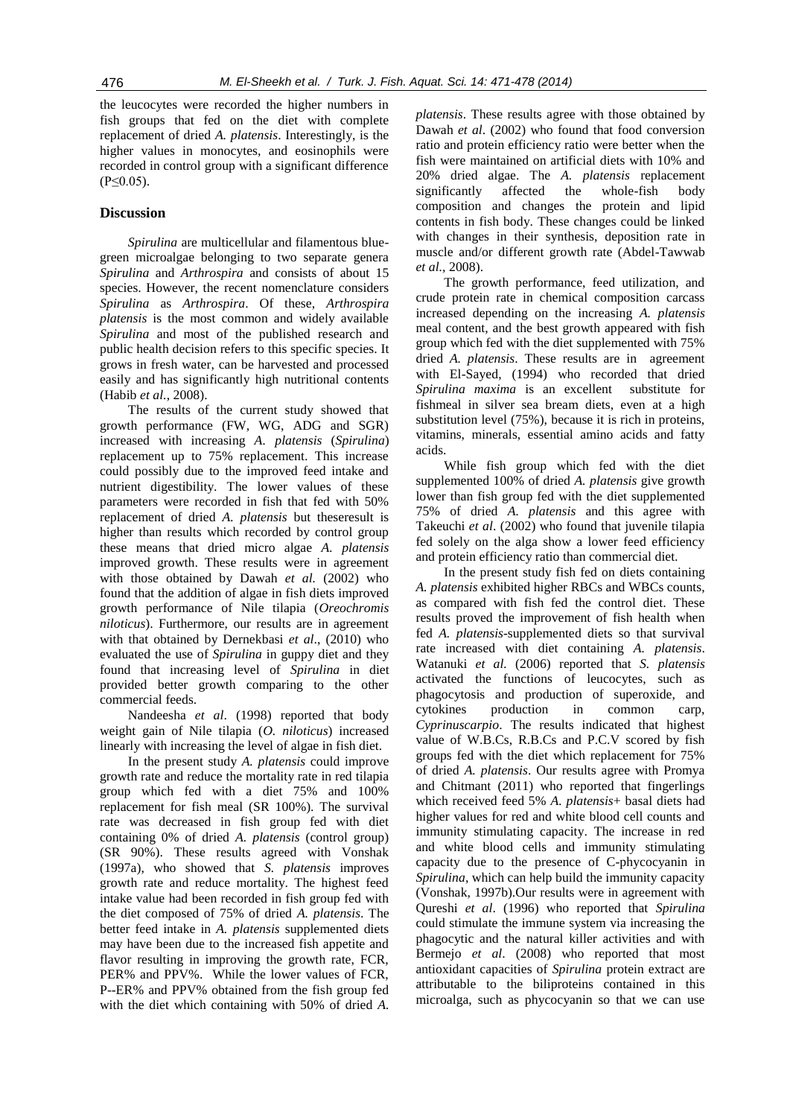the leucocytes were recorded the higher numbers in fish groups that fed on the diet with complete replacement of dried *A. platensis*. Interestingly, is the higher values in monocytes, and eosinophils were recorded in control group with a significant difference  $(P \le 0.05)$ .

# **Discussion**

*Spirulina* are multicellular and filamentous bluegreen microalgae belonging to two separate genera *Spirulina* and *Arthrospira* and consists of about 15 species. However, the recent nomenclature considers *Spirulina* as *Arthrospira*. Of these, *Arthrospira platensis* is the most common and widely available *Spirulina* and most of the published research and public health decision refers to this specific species. It grows in fresh water, can be harvested and processed easily and has significantly high nutritional contents (Habib *et al.*, 2008).

The results of the current study showed that growth performance (FW, WG, ADG and SGR) increased with increasing *A. platensis* (*Spirulina*) replacement up to 75% replacement. This increase could possibly due to the improved feed intake and nutrient digestibility. The lower values of these parameters were recorded in fish that fed with 50% replacement of dried *A. platensis* but theseresult is higher than results which recorded by control group these means that dried micro algae *A. platensis*  improved growth. These results were in agreement with those obtained by Dawah *et al.* (2002) who found that the addition of algae in fish diets improved growth performance of Nile tilapia (*Oreochromis niloticus*). Furthermore, our results are in agreement with that obtained by Dernekbasi *et al*., (2010) who evaluated the use of *Spirulina* in guppy diet and they found that increasing level of *Spirulina* in diet provided better growth comparing to the other commercial feeds.

Nandeesha *et al*. (1998) reported that body weight gain of Nile tilapia (*O. niloticus*) increased linearly with increasing the level of algae in fish diet.

In the present study *A. platensis* could improve growth rate and reduce the mortality rate in red tilapia group which fed with a diet 75% and 100% replacement for fish meal (SR 100%). The survival rate was decreased in fish group fed with diet containing 0% of dried *A. platensis* (control group) (SR 90%). These results agreed with Vonshak (1997a), who showed that *S. platensis* improves growth rate and reduce mortality. The highest feed intake value had been recorded in fish group fed with the diet composed of 75% of dried *A. platensis*. The better feed intake in *A. platensis* supplemented diets may have been due to the increased fish appetite and flavor resulting in improving the growth rate, FCR, PER% and PPV%. While the lower values of FCR, P--ER% and PPV% obtained from the fish group fed with the diet which containing with 50% of dried *A.*  *platensis*. These results agree with those obtained by Dawah *et al*. (2002) who found that food conversion ratio and protein efficiency ratio were better when the fish were maintained on artificial diets with 10% and 20% dried algae. The *A. platensis* replacement significantly affected the whole-fish body composition and changes the protein and lipid contents in fish body. These changes could be linked with changes in their synthesis, deposition rate in muscle and/or different growth rate (Abdel-Tawwab *et al.,* 2008).

The growth performance, feed utilization, and crude protein rate in chemical composition carcass increased depending on the increasing *A. platensis*  meal content, and the best growth appeared with fish group which fed with the diet supplemented with 75% dried *A. platensis*. These results are in agreement with El-Sayed, (1994) who recorded that dried *Spirulina maxima* is an excellent substitute for fishmeal in silver sea bream diets, even at a high substitution level (75%), because it is rich in proteins, vitamins, minerals, essential amino acids and fatty acids.

While fish group which fed with the diet supplemented 100% of dried *A. platensis* give growth lower than fish group fed with the diet supplemented 75% of dried *A. platensis* and this agree with Takeuchi *et al*. (2002) who found that juvenile tilapia fed solely on the alga show a lower feed efficiency and protein efficiency ratio than commercial diet*.* 

In the present study fish fed on diets containing *A. platensis* exhibited higher RBCs and WBCs counts, as compared with fish fed the control diet. These results proved the improvement of fish health when fed *A. platensis*-supplemented diets so that survival rate increased with diet containing *A. platensis*. Watanuki *et al.* (2006) reported that *S. platensis*  activated the functions of leucocytes, such as phagocytosis and production of superoxide, and cytokines production in common carp, *Cyprinuscarpio*. The results indicated that highest value of W.B.Cs, R.B.Cs and P.C.V scored by fish groups fed with the diet which replacement for 75% of dried *A. platensis*. Our results agree with Promya and Chitmant (2011) who reported that fingerlings which received feed 5% *A. platensis*+ basal diets had higher values for red and white blood cell counts and immunity stimulating capacity. The increase in red and white blood cells and immunity stimulating capacity due to the presence of C-phycocyanin in *Spirulina*, which can help build the immunity capacity (Vonshak, 1997b).Our results were in agreement with Qureshi *et al*. (1996) who reported that *Spirulina* could stimulate the immune system via increasing the phagocytic and the natural killer activities and with Bermejo *et al*. (2008) who reported that most antioxidant capacities of *Spirulina* protein extract are attributable to the biliproteins contained in this microalga, such as phycocyanin so that we can use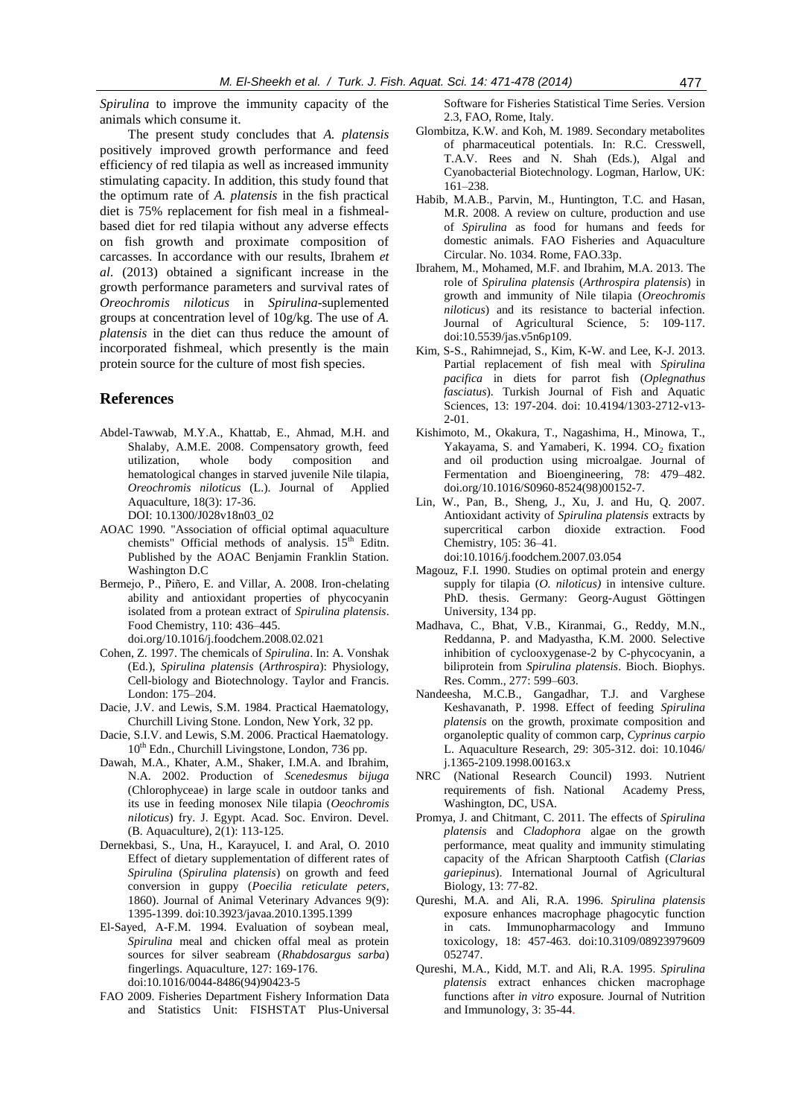*Spirulina* to improve the immunity capacity of the animals which consume it.

The present study concludes that *A. platensis*  positively improved growth performance and feed efficiency of red tilapia as well as increased immunity stimulating capacity. In addition, this study found that the optimum rate of *A. platensis* in the fish practical diet is 75% replacement for fish meal in a fishmealbased diet for red tilapia without any adverse effects on fish growth and proximate composition of carcasses. In accordance with our results, Ibrahem *et al*. (2013) obtained a significant increase in the growth performance parameters and survival rates of *Oreochromis niloticus* in *Spirulina*-suplemented groups at concentration level of 10g/kg. The use of *A. platensis* in the diet can thus reduce the amount of incorporated fishmeal, which presently is the main protein source for the culture of most fish species.

# **References**

- Abdel-Tawwab, M.Y.A., Khattab, E., Ahmad, M.H. and Shalaby, A.M.E. 2008. Compensatory growth, feed utilization, whole body composition and hematological changes in starved juvenile Nile tilapia, *Oreochromis niloticus* (L.). Journal of Applied Aquaculture, 18(3): 17-36. DOI: 10.1300/J028v18n03\_02
- AOAC 1990. "Association of official optimal aquaculture chemists" Official methods of analysis.  $15<sup>th</sup>$  Editn. Published by the AOAC Benjamin Franklin Station. Washington D.C
- Bermejo, P., Piñero, E. and Villar, A. 2008. Iron-chelating ability and antioxidant properties of phycocyanin isolated from a protean extract of *Spirulina platensis*. Food Chemistry, 110: 436–445.
	- [doi.org/10.1016/j.foodchem.2008.02.021](http://dx.doi.org/10.1016/j.foodchem.2008.02.021)
- Cohen, Z. 1997. The chemicals of *Spirulina*. In: A. Vonshak (Ed.), *Spirulina platensis* (*Arthrospira*): Physiology, Cell-biology and Biotechnology. Taylor and Francis. London: 175–204.
- Dacie, J.V. and Lewis, S.M. 1984. Practical Haematology, Churchill Living Stone. London, New York, 32 pp.
- Dacie, S.I.V. and Lewis, S.M. 2006. Practical Haematology.  $10^{th}$  Edn., Churchill Livingstone, London, 736 pp.
- Dawah, M.A., Khater, A.M., Shaker, I.M.A. and Ibrahim, N.A. 2002. Production of *Scenedesmus bijuga* (Chlorophyceae) in large scale in outdoor tanks and its use in feeding monosex Nile tilapia (*Oeochromis niloticus*) fry. J. Egypt. Acad. Soc. Environ. Devel. (B. Aquaculture), 2(1): 113-125.
- Dernekbasi, S., Una, H., Karayucel, I. and Aral, O. 2010 Effect of dietary supplementation of different rates of *Spirulina* (*Spirulina platensis*) on growth and feed conversion in guppy (*Poecilia reticulate peters*, 1860). Journal of Animal Veterinary Advances 9(9): 1395-1399. doi:10.3923/javaa.2010.1395.1399
- El-Sayed, A-F.M. 1994. Evaluation of soybean meal, *Spirulina* meal and chicken offal meal as protein sources for silver seabream (*Rhabdosargus sarba*) fingerlings. Aquaculture, 127: 169-176. [doi:10.1016/0044-8486\(94\)90423-5](http://dx.doi.org/10.1016/0044-8486(94)90423-5)
- FAO 2009. Fisheries Department Fishery Information Data and Statistics Unit: FISHSTAT Plus-Universal

Software for Fisheries Statistical Time Series. Version 2.3, FAO, Rome, Italy.

- Glombitza, K.W. and Koh, M. 1989. Secondary metabolites of pharmaceutical potentials. In: R.C. Cresswell, T.A.V. Rees and N. Shah (Eds.), Algal and Cyanobacterial Biotechnology. Logman, Harlow, UK: 161–238.
- Habib, M.A.B., Parvin, M., Huntington, T.C. and Hasan, M.R. 2008. A review on culture, production and use of *Spirulina* as food for humans and feeds for domestic animals. FAO Fisheries and Aquaculture Circular. No. 1034. Rome, FAO.33p.
- Ibrahem, M., Mohamed, M.F. and Ibrahim, M.A. 2013. The role of *Spirulina platensis* (*Arthrospira platensis*) in growth and immunity of Nile tilapia (*Oreochromis niloticus*) and its resistance to bacterial infection. Journal of Agricultural Science, 5: 109-117. doi:10.5539/jas.v5n6p109.
- Kim, S-S., Rahimnejad, S., Kim, K-W. and Lee, K-J. 2013. Partial replacement of fish meal with *Spirulina pacifica* in diets for parrot fish (*Oplegnathus fasciatus*). Turkish Journal of Fish and Aquatic Sciences, 13: 197-204. doi: 10.4194/1303-2712-v13- 2-01.
- Kishimoto, M., Okakura, T., Nagashima, H., Minowa, T., Yakayama, S. and Yamaberi, K. 1994. CO<sub>2</sub> fixation and oil production using microalgae. Journal of Fermentation and Bioengineering, 78: 479–482. [doi.org/10.1016/S0960-8524\(98\)00152-7.](http://dx.doi.org/10.1016/S0960-8524(98)00152-7)
- Lin, W., Pan, B., Sheng, J., Xu, J. and Hu, Q. 2007. Antioxidant activity of *Spirulina platensis* extracts by supercritical carbon dioxide extraction. Food Chemistry, 105: 36–41. [doi:10.1016/j.foodchem.2007.03.054](http://dx.doi.org/10.1016/j.foodchem.2007.03.054)
- Magouz, F.I. 1990. Studies on optimal protein and energy supply for tilapia (*O. niloticus)* in intensive culture. PhD. thesis. Germany: Georg-August Göttingen University, 134 pp.
- Madhava, C., Bhat, V.B., Kiranmai, G., Reddy, M.N., Reddanna, P. and Madyastha, K.M. 2000. Selective inhibition of cyclooxygenase-2 by C-phycocyanin, a biliprotein from *Spirulina platensis*. Bioch. Biophys. Res. Comm., 277: 599–603.
- Nandeesha, M.C.B., Gangadhar, T.J. and Varghese Keshavanath, P. 1998. Effect of feeding *Spirulina platensis* on the growth, proximate composition and organoleptic quality of common carp, *Cyprinus carpio* L. Aquaculture Research, 29: 305-312. doi: 10.1046/ j.1365-2109.1998.00163.x
- NRC (National Research Council) 1993. Nutrient requirements of fish. National Academy Press, Washington, DC, USA.
- Promya, J. and Chitmant, C. 2011. The effects of *Spirulina platensis* and *Cladophora* algae on the growth performance, meat quality and immunity stimulating capacity of the African Sharptooth Catfish (*Clarias gariepinus*). International Journal of Agricultural Biology, 13: 77-82.
- Qureshi, M.A. and Ali, R.A. 1996. *Spirulina platensis*  exposure enhances macrophage phagocytic function in cats. Immunopharmacology and Immuno toxicology, 18: 457-463. doi:10.3109/08923979609 052747.
- Qureshi, M.A., Kidd, M.T. and Ali, R.A. 1995. *Spirulina platensis* extract enhances chicken macrophage functions after *in vitro* exposure*.* Journal of Nutrition and Immunology, 3: 35-44.